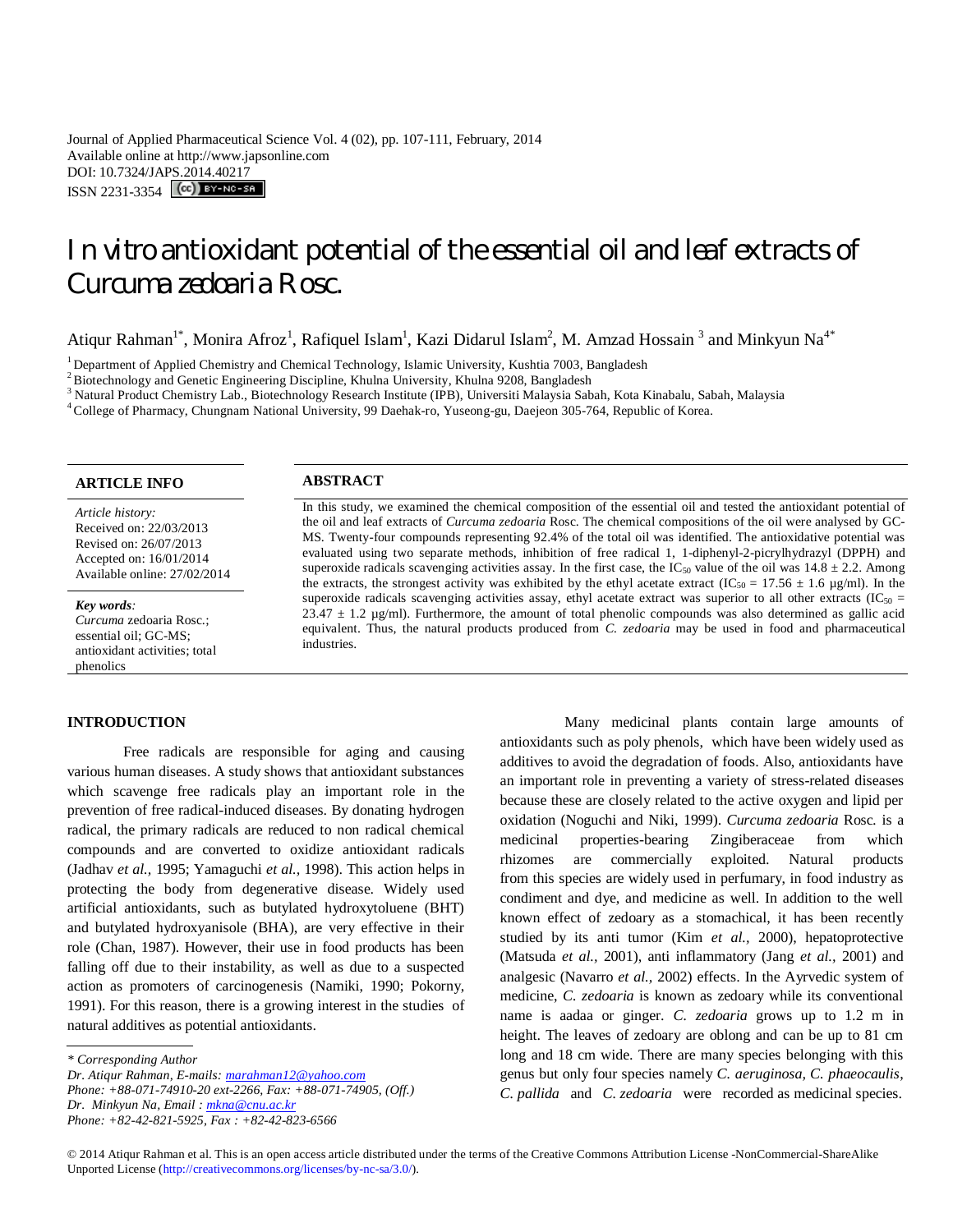Journal of Applied Pharmaceutical Science Vol. 4 (02), pp. 107-111, February, 2014 Available online at http://www.japsonline.com DOI: 10.7324/JAPS.2014.40217

ISSN 2231-3354 **CC**) BY-NC-SA

# *In vitro* antioxidant potential of the essential oil and leaf extracts of *Curcuma zedoaria* Rosc.

Atiqur Rahman<sup>1\*</sup>, Monira Afroz<sup>1</sup>, Rafiquel Islam<sup>1</sup>, Kazi Didarul Islam<sup>2</sup>, M. Amzad Hossain<sup>3</sup> and Minkyun Na<sup>4\*</sup>

<sup>1</sup> Department of Applied Chemistry and Chemical Technology, Islamic University, Kushtia 7003, Bangladesh

<sup>2</sup>Biotechnology and Genetic Engineering Discipline, Khulna University, Khulna 9208, Bangladesh

<sup>3</sup> Natural Product Chemistry Lab., Biotechnology Research Institute (IPB), Universiti Malaysia Sabah, Kota Kinabalu, Sabah, Malaysia

<sup>4</sup>College of Pharmacy, Chungnam National University, 99 Daehak-ro, Yuseong-gu, Daejeon 305-764, Republic of Korea.

# **ARTICLE INFO ABSTRACT**

*Article history:* Received on: 22/03/2013 Revised on: 26/07/2013 Accepted on: 16/01/2014 Available online: 27/02/2014

*Key words:* 

*Curcuma* zedoaria Rosc.; essential oil; GC-MS; antioxidant activities; total phenolics

#### **INTRODUCTION**

Free radicals are responsible for aging and causing various human diseases. A study shows that antioxidant substances which scavenge free radicals play an important role in the prevention of free radical-induced diseases. By donating hydrogen radical, the primary radicals are reduced to non radical chemical compounds and are converted to oxidize antioxidant radicals (Jadhav *et al.,* 1995; Yamaguchi *et al.,* 1998). This action helps in protecting the body from degenerative disease. Widely used artificial antioxidants, such as butylated hydroxytoluene (BHT) and butylated hydroxyanisole (BHA), are very effective in their role (Chan, 1987). However, their use in food products has been falling off due to their instability, as well as due to a suspected action as promoters of carcinogenesis (Namiki, 1990; Pokorny, 1991). For this reason, there is a growing interest in the studies of natural additives as potential antioxidants.

*\* Corresponding Author*

*Dr. Atiqur Rahman, E-mails: marahman12@yahoo.com*

*Phone: +88-071-74910-20 ext-2266, Fax: +88-071-74905, (Off.) Dr. Minkyun Na, Email : mkna@cnu.ac.kr*

*Phone: +82-42-821-5925, Fax : +82-42-823-6566*

In this study, we examined the chemical composition of the essential oil and tested the antioxidant potential of the oil and leaf extracts of *Curcuma zedoaria* Rosc. The chemical compositions of the oil were analysed by GC-MS. Twenty-four compounds representing 92.4% of the total oil was identified. The antioxidative potential was evaluated using two separate methods, inhibition of free radical 1, 1-diphenyl-2-picrylhydrazyl (DPPH) and superoxide radicals scavenging activities assay. In the first case, the IC<sub>50</sub> value of the oil was  $14.8 \pm 2.2$ . Among the extracts, the strongest activity was exhibited by the ethyl acetate extract (IC<sub>50</sub> = 17.56  $\pm$  1.6 µg/ml). In the superoxide radicals scavenging activities assay, ethyl acetate extract was superior to all other extracts (IC<sub>50</sub> =  $23.47 \pm 1.2$  µg/ml). Furthermore, the amount of total phenolic compounds was also determined as gallic acid equivalent. Thus, the natural products produced from *C. zedoaria* may be used in food and pharmaceutical industries.

> Many medicinal plants contain large amounts of antioxidants such as poly phenols, which have been widely used as additives to avoid the degradation of foods. Also, antioxidants have an important role in preventing a variety of stress-related diseases because these are closely related to the active oxygen and lipid per oxidation (Noguchi and Niki, 1999). *Curcuma zedoaria* Rosc*.* is a medicinal properties-bearing Zingiberaceae from which rhizomes are commercially exploited. Natural products from this species are widely used in perfumary, in food industry as condiment and dye, and medicine as well. In addition to the well known effect of zedoary as a stomachical, it has been recently studied by its anti tumor (Kim *et al.,* 2000), hepatoprotective (Matsuda *et al.,* 2001), anti inflammatory (Jang *et al.,* 2001) and analgesic (Navarro *et al.,* 2002) effects. In the Ayrvedic system of medicine, *C. zedoaria* is known as zedoary while its conventional name is aadaa or ginger. *C. zedoaria* grows up to 1.2 m in height. The leaves of zedoary are oblong and can be up to 81 cm long and 18 cm wide. There are many species belonging with this genus but only four species namely *C. aeruginosa, C. phaeocaulis*, *C. pallida* and *C. zedoaria* were recorded as medicinal species.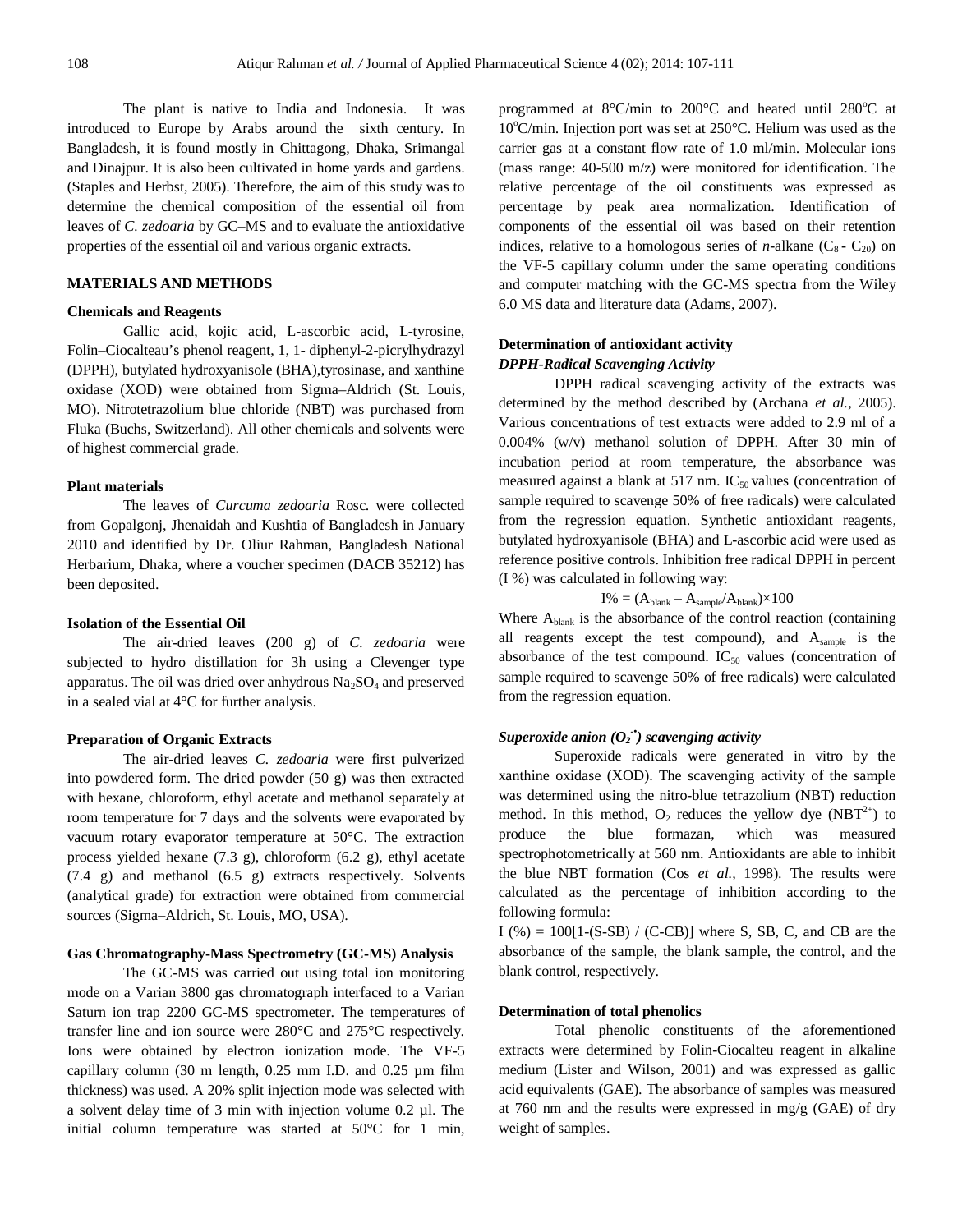The plant is native to India and Indonesia. It was introduced to Europe by Arabs around the sixth century. In Bangladesh, it is found mostly in Chittagong, Dhaka, Srimangal and Dinajpur. It is also been cultivated in home yards and gardens. (Staples and Herbst, 2005). Therefore, the aim of this study was to determine the chemical composition of the essential oil from leaves of *C. zedoaria* by GC–MS and to evaluate the antioxidative properties of the essential oil and various organic extracts.

# **MATERIALS AND METHODS**

#### **Chemicals and Reagents**

Gallic acid, kojic acid, L-ascorbic acid, L-tyrosine, Folin–Ciocalteau's phenol reagent, 1, 1- diphenyl-2-picrylhydrazyl (DPPH), butylated hydroxyanisole (BHA),tyrosinase, and xanthine oxidase (XOD) were obtained from Sigma–Aldrich (St. Louis, MO). Nitrotetrazolium blue chloride (NBT) was purchased from Fluka (Buchs, Switzerland). All other chemicals and solvents were of highest commercial grade.

# **Plant materials**

The leaves of *Curcuma zedoaria* Rosc. were collected from Gopalgonj, Jhenaidah and Kushtia of Bangladesh in January 2010 and identified by Dr. Oliur Rahman, Bangladesh National Herbarium, Dhaka, where a voucher specimen (DACB 35212) has been deposited.

# **Isolation of the Essential Oil**

The air-dried leaves (200 g) of *C. zedoaria* were subjected to hydro distillation for 3h using a Clevenger type apparatus. The oil was dried over anhydrous  $Na<sub>2</sub>SO<sub>4</sub>$  and preserved in a sealed vial at 4°C for further analysis.

# **Preparation of Organic Extracts**

The air-dried leaves *C. zedoaria* were first pulverized into powdered form. The dried powder (50 g) was then extracted with hexane, chloroform, ethyl acetate and methanol separately at room temperature for 7 days and the solvents were evaporated by vacuum rotary evaporator temperature at 50°C. The extraction process yielded hexane (7.3 g), chloroform (6.2 g), ethyl acetate (7.4 g) and methanol (6.5 g) extracts respectively. Solvents (analytical grade) for extraction were obtained from commercial sources (Sigma–Aldrich, St. Louis, MO, USA).

### **Gas Chromatography-Mass Spectrometry (GC-MS) Analysis**

The GC-MS was carried out using total ion monitoring mode on a Varian 3800 gas chromatograph interfaced to a Varian Saturn ion trap 2200 GC-MS spectrometer. The temperatures of transfer line and ion source were 280°C and 275°C respectively. Ions were obtained by electron ionization mode. The VF-5 capillary column (30 m length, 0.25 mm I.D. and 0.25 µm film thickness) was used. A 20% split injection mode was selected with a solvent delay time of 3 min with injection volume 0.2 µl. The initial column temperature was started at 50°C for 1 min, programmed at  $8^{\circ}$ C/min to 200 $^{\circ}$ C and heated until 280 $^{\circ}$ C at 10°C/min. Injection port was set at 250°C. Helium was used as the carrier gas at a constant flow rate of 1.0 ml/min. Molecular ions (mass range: 40-500 m/z) were monitored for identification. The relative percentage of the oil constituents was expressed as percentage by peak area normalization. Identification of components of the essential oil was based on their retention indices, relative to a homologous series of *n*-alkane  $(C_8 - C_{20})$  on the VF-5 capillary column under the same operating conditions and computer matching with the GC-MS spectra from the Wiley 6.0 MS data and literature data (Adams, 2007).

# **Determination of antioxidant activity** *DPPH-Radical Scavenging Activity*

DPPH radical scavenging activity of the extracts was determined by the method described by (Archana *et al.,* 2005). Various concentrations of test extracts were added to 2.9 ml of a 0.004% (w/v) methanol solution of DPPH. After 30 min of incubation period at room temperature, the absorbance was measured against a blank at 517 nm.  $IC_{50}$  values (concentration of sample required to scavenge 50% of free radicals) were calculated from the regression equation. Synthetic antioxidant reagents, butylated hydroxyanisole (BHA) and L-ascorbic acid were used as reference positive controls. Inhibition free radical DPPH in percent (I %) was calculated in following way:

$$
I\% = (A_{blank} - A_{sample}/A_{blank}) \times 100
$$

Where  $A<sub>blank</sub>$  is the absorbance of the control reaction (containing all reagents except the test compound), and  $A_{\text{sample}}$  is the absorbance of the test compound.  $IC_{50}$  values (concentration of sample required to scavenge 50% of free radicals) were calculated from the regression equation.

# *Superoxide anion (O<sup>2</sup> -• ) scavenging activity*

Superoxide radicals were generated in vitro by the xanthine oxidase (XOD). The scavenging activity of the sample was determined using the nitro-blue tetrazolium (NBT) reduction method. In this method,  $O_2$  reduces the yellow dye (NBT<sup>2+</sup>) to produce the blue formazan, which was measured spectrophotometrically at 560 nm. Antioxidants are able to inhibit the blue NBT formation (Cos *et al.,* 1998). The results were calculated as the percentage of inhibition according to the following formula:

 $I(\%) = 100[1-(S-SB) / (C-CB)]$  where S, SB, C, and CB are the absorbance of the sample, the blank sample, the control, and the blank control, respectively.

#### **Determination of total phenolics**

Total phenolic constituents of the aforementioned extracts were determined by Folin-Ciocalteu reagent in alkaline medium (Lister and Wilson, 2001) and was expressed as gallic acid equivalents (GAE). The absorbance of samples was measured at 760 nm and the results were expressed in mg/g (GAE) of dry weight of samples.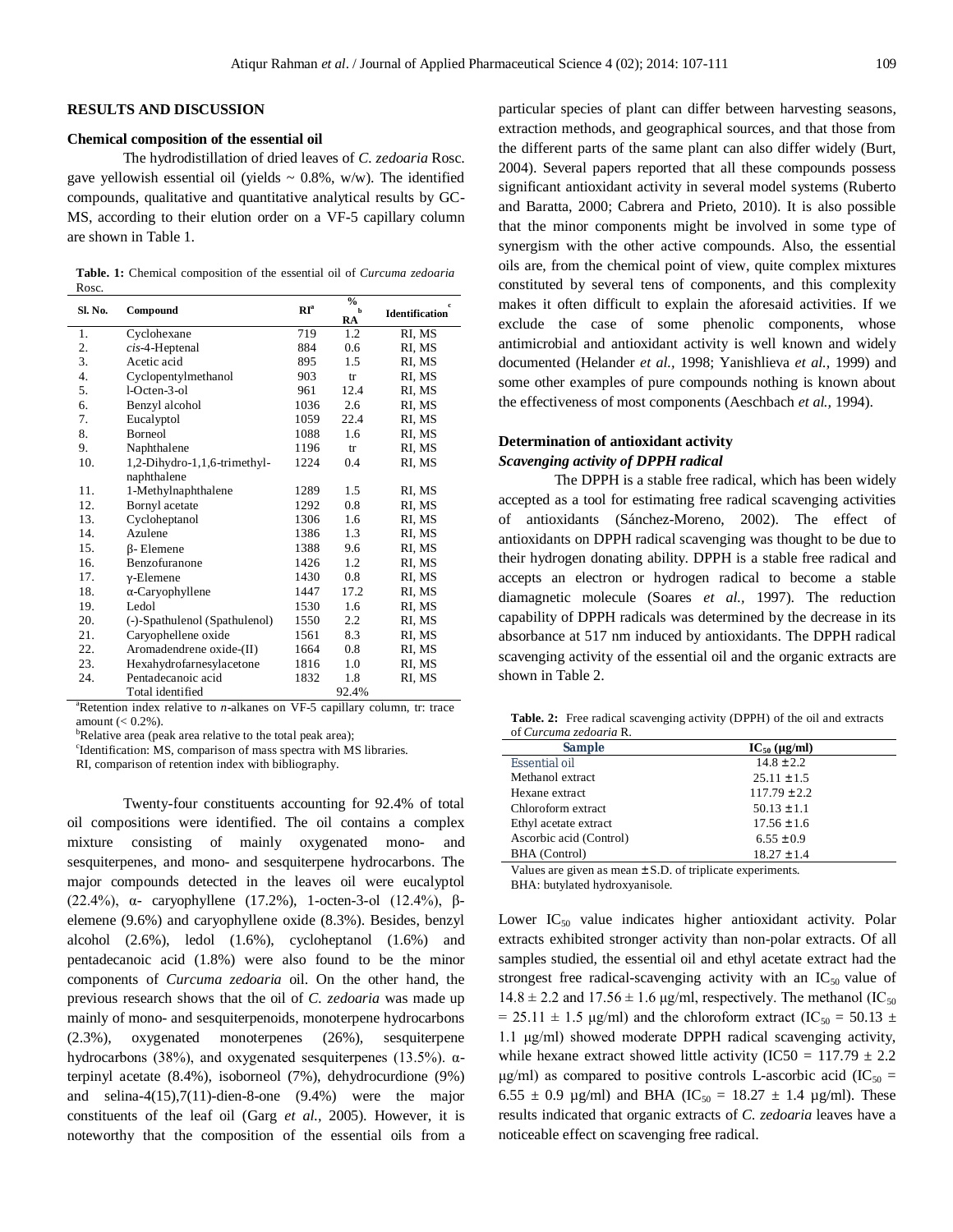#### **RESULTS AND DISCUSSION**

#### **Chemical composition of the essential oil**

The hydrodistillation of dried leaves of *C. zedoaria* Rosc. gave yellowish essential oil (yields  $\sim 0.8\%$ , w/w). The identified compounds, qualitative and quantitative analytical results by GC-MS, according to their elution order on a VF-5 capillary column are shown in Table 1.

| <b>Table. 1:</b> Chemical composition of the essential oil of <i>Curcuma zedoaria</i> |  |  |  |
|---------------------------------------------------------------------------------------|--|--|--|
| Rosc.                                                                                 |  |  |  |

| Sl. No. | Compound                      | $\mathbb{R}I^{\mathrm{a}}$ | $\frac{6}{6}$<br>$\mathbf{h}$<br>RA | $\mathbf c$<br><b>Identification</b> |
|---------|-------------------------------|----------------------------|-------------------------------------|--------------------------------------|
| 1.      | Cyclohexane                   | 719                        | 1.2                                 | RI, MS                               |
| 2.      | $cis-4$ -Heptenal             | 884                        | 0.6                                 | RI, MS                               |
| 3.      | Acetic acid                   | 895                        | 1.5                                 | RI, MS                               |
| 4.      | Cyclopentylmethanol           | 903                        | tr                                  | RI. MS                               |
| 5.      | $1-Octen-3-o1$                | 961                        | 12.4                                | RI, MS                               |
| 6.      | Benzyl alcohol                | 1036                       | 2.6                                 | RI, MS                               |
| 7.      | Eucalyptol                    | 1059                       | 22.4                                | RI, MS                               |
| 8.      | Borneol                       | 1088                       | 1.6                                 | RI, MS                               |
| 9.      | Naphthalene                   | 1196                       | tr                                  | RI, MS                               |
| 10.     | 1,2-Dihydro-1,1,6-trimethyl-  | 1224                       | 0.4                                 | RI, MS                               |
|         | naphthalene                   |                            |                                     |                                      |
| 11.     | 1-Methylnaphthalene           | 1289                       | 1.5                                 | RI, MS                               |
| 12.     | Bornyl acetate                | 1292                       | 0.8                                 | RI, MS                               |
| 13.     | Cycloheptanol                 | 1306                       | 1.6                                 | RI, MS                               |
| 14.     | Azulene                       | 1386                       | 1.3                                 | RI, MS                               |
| 15.     | <b>ß</b> -Elemene             | 1388                       | 9.6                                 | RI, MS                               |
| 16.     | Benzofuranone                 | 1426                       | 1.2                                 | RI, MS                               |
| 17.     | $v$ -Elemene                  | 1430                       | 0.8                                 | RI, MS                               |
| 18.     | $\alpha$ -Caryophyllene       | 1447                       | 17.2                                | RI, MS                               |
| 19.     | Ledol                         | 1530                       | 1.6                                 | RI, MS                               |
| 20.     | (-)-Spathulenol (Spathulenol) | 1550                       | 2.2                                 | RI, MS                               |
| 21.     | Caryophellene oxide           | 1561                       | 8.3                                 | RI, MS                               |
| 22.     | Aromadendrene oxide-(II)      | 1664                       | 0.8                                 | RI, MS                               |
| 23.     | Hexahydrofarnesylacetone      | 1816                       | 1.0                                 | RI, MS                               |
| 24.     | Pentadecanoic acid            | 1832                       | 1.8                                 | RI, MS                               |
|         | Total identified              |                            | 92.4%                               |                                      |

 $a<sup>a</sup>$ Retention index relative to *n*-alkanes on VF-5 capillary column, tr: trace amount  $(< 0.2\%)$ .

RI, comparison of retention index with bibliography.

Twenty-four constituents accounting for 92.4% of total oil compositions were identified. The oil contains a complex mixture consisting of mainly oxygenated mono- and sesquiterpenes, and mono- and sesquiterpene hydrocarbons. The major compounds detected in the leaves oil were eucalyptol (22.4%), α- caryophyllene (17.2%), 1-octen-3-ol (12.4%), βelemene (9.6%) and caryophyllene oxide (8.3%). Besides, benzyl alcohol (2.6%), ledol (1.6%), cycloheptanol (1.6%) and pentadecanoic acid (1.8%) were also found to be the minor components of *Curcuma zedoaria* oil. On the other hand, the previous research shows that the oil of *C. zedoaria* was made up mainly of mono- and sesquiterpenoids, monoterpene hydrocarbons (2.3%), oxygenated monoterpenes (26%), sesquiterpene hydrocarbons (38%), and oxygenated sesquiterpenes (13.5%). αterpinyl acetate (8.4%), isoborneol (7%), dehydrocurdione (9%) and selina-4(15),7(11)-dien-8-one (9.4%) were the major constituents of the leaf oil (Garg *et al.,* 2005). However, it is noteworthy that the composition of the essential oils from a particular species of plant can differ between harvesting seasons, extraction methods, and geographical sources, and that those from the different parts of the same plant can also differ widely (Burt, 2004). Several papers reported that all these compounds possess significant antioxidant activity in several model systems (Ruberto and Baratta, 2000; Cabrera and Prieto, 2010). It is also possible that the minor components might be involved in some type of synergism with the other active compounds. Also, the essential oils are, from the chemical point of view, quite complex mixtures constituted by several tens of components, and this complexity makes it often difficult to explain the aforesaid activities. If we exclude the case of some phenolic components, whose antimicrobial and antioxidant activity is well known and widely documented (Helander *et al.,* 1998; Yanishlieva *et al.,* 1999) and some other examples of pure compounds nothing is known about the effectiveness of most components (Aeschbach *et al.,* 1994).

### **Determination of antioxidant activity** *Scavenging activity of DPPH radical*

The DPPH is a stable free radical, which has been widely accepted as a tool for estimating free radical scavenging activities of antioxidants (Sánchez-Moreno, 2002). The effect of antioxidants on DPPH radical scavenging was thought to be due to their hydrogen donating ability. DPPH is a stable free radical and accepts an electron or hydrogen radical to become a stable diamagnetic molecule (Soares *et al.,* 1997). The reduction capability of DPPH radicals was determined by the decrease in its absorbance at 517 nm induced by antioxidants. The DPPH radical scavenging activity of the essential oil and the organic extracts are shown in Table 2.

| <b>Table. 2:</b> Free radical scavenging activity (DPPH) of the oil and extracts |  |  |
|----------------------------------------------------------------------------------|--|--|
| of Curcuma zedoaria R.                                                           |  |  |

| Sample                  | $IC_{50}$ (µg/ml) |
|-------------------------|-------------------|
| Essential oil           | $14.8 \pm 2.2$    |
| Methanol extract        | $25.11 \pm 1.5$   |
| Hexane extract          | $117.79 \pm 2.2$  |
| Chloroform extract      | $50.13 \pm 1.1$   |
| Ethyl acetate extract   | $17.56 \pm 1.6$   |
| Ascorbic acid (Control) | $6.55 \pm 0.9$    |
| BHA (Control)           | $18.27 \pm 1.4$   |

Values are given as mean ± S.D. of triplicate experiments. BHA: butylated hydroxyanisole.

Lower  $IC_{50}$  value indicates higher antioxidant activity. Polar extracts exhibited stronger activity than non-polar extracts. Of all samples studied, the essential oil and ethyl acetate extract had the strongest free radical-scavenging activity with an  $IC_{50}$  value of  $14.8 \pm 2.2$  and  $17.56 \pm 1.6$  µg/ml, respectively. The methanol (IC<sub>50</sub>)  $= 25.11 \pm 1.5$  μg/ml) and the chloroform extract (IC<sub>50</sub> = 50.13  $\pm$ 1.1 μg/ml) showed moderate DPPH radical scavenging activity, while hexane extract showed little activity (IC50 =  $117.79 \pm 2.2$ ) μg/ml) as compared to positive controls L-ascorbic acid (IC<sub>50</sub> = 6.55  $\pm$  0.9 µg/ml) and BHA (IC<sub>50</sub> = 18.27  $\pm$  1.4 µg/ml). These results indicated that organic extracts of *C. zedoaria* leaves have a noticeable effect on scavenging free radical.

 ${}^{\text{b}}$ Relative area (peak area relative to the total peak area);

c Identification: MS, comparison of mass spectra with MS libraries.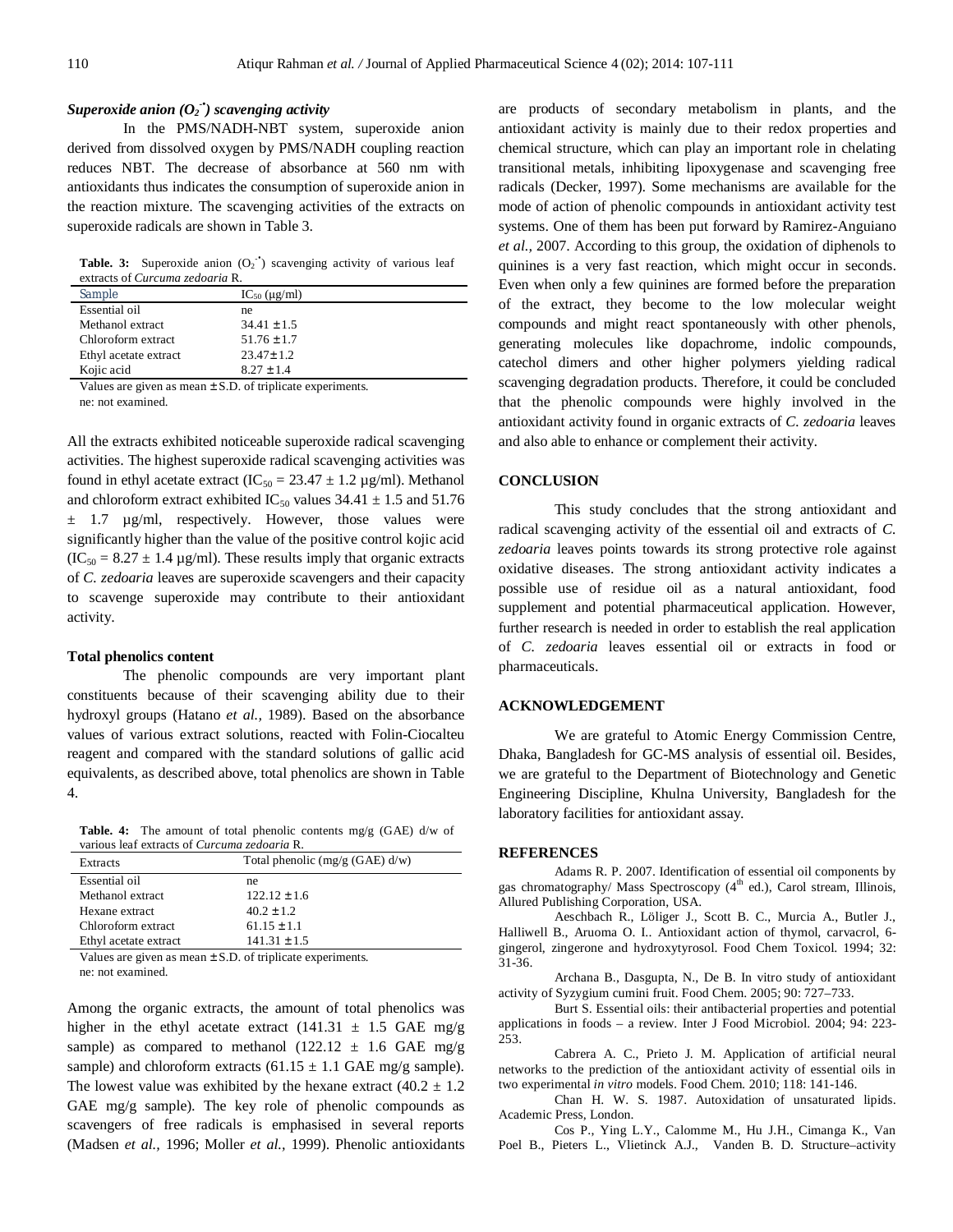# *Superoxide anion (O<sup>2</sup> -• ) scavenging activity*

In the PMS/NADH-NBT system, superoxide anion derived from dissolved oxygen by PMS/NADH coupling reaction reduces NBT. The decrease of absorbance at 560 nm with antioxidants thus indicates the consumption of superoxide anion in the reaction mixture. The scavenging activities of the extracts on superoxide radicals are shown in Table 3.

**Table. 3:** Superoxide anion  $(O_2$ <sup>+</sup>) scavenging activity of various leaf extracts of *Curcuma zedoaria* R.

| Sample                | $IC_{50}$ ( $\mu$ g/ml) |
|-----------------------|-------------------------|
| Essential oil         | ne                      |
| Methanol extract      | $34.41 \pm 1.5$         |
| Chloroform extract    | $51.76 \pm 1.7$         |
| Ethyl acetate extract | $23.47 \pm 1.2$         |
| Kojic acid            | $8.27 \pm 1.4$          |

Values are given as mean  $\pm$  S.D. of triplicate experiments. ne: not examined.

All the extracts exhibited noticeable superoxide radical scavenging activities. The highest superoxide radical scavenging activities was found in ethyl acetate extract (IC<sub>50</sub> = 23.47  $\pm$  1.2 µg/ml). Methanol and chloroform extract exhibited IC<sub>50</sub> values  $34.41 \pm 1.5$  and  $51.76$  $\pm$  1.7  $\mu$ g/ml, respectively. However, those values were significantly higher than the value of the positive control kojic acid  $(IC_{50} = 8.27 \pm 1.4 \,\mu g/ml)$ . These results imply that organic extracts of *C. zedoaria* leaves are superoxide scavengers and their capacity to scavenge superoxide may contribute to their antioxidant activity.

#### **Total phenolics content**

The phenolic compounds are very important plant constituents because of their scavenging ability due to their hydroxyl groups (Hatano *et al.,* 1989). Based on the absorbance values of various extract solutions, reacted with Folin-Ciocalteu reagent and compared with the standard solutions of gallic acid equivalents, as described above, total phenolics are shown in Table 4.

**Table. 4:** The amount of total phenolic contents mg/g (GAE) d/w of various leaf extracts of *Curcuma zedoaria* R.

| Extracts              | Total phenolic $(mg/g(GAE) d/w)$          |  |
|-----------------------|-------------------------------------------|--|
| Essential oil         | ne                                        |  |
| Methanol extract      | $122.12 \pm 1.6$                          |  |
| Hexane extract        | $40.2 \pm 1.2$                            |  |
| Chloroform extract    | $61.15 \pm 1.1$                           |  |
| Ethyl acetate extract | $141.31 \pm 1.5$                          |  |
| .                     | $\sim$ $\sim$ $\sim$ $\sim$ $\sim$ $\sim$ |  |

Values are given as mean  $\pm$  S.D. of triplicate experiments. ne: not examined.

Among the organic extracts, the amount of total phenolics was higher in the ethyl acetate extract  $(141.31 \pm 1.5 \text{ GAE mg/g})$ sample) as compared to methanol (122.12  $\pm$  1.6 GAE mg/g sample) and chloroform extracts  $(61.15 \pm 1.1 \text{ GAE mg/g sample})$ . The lowest value was exhibited by the hexane extract  $(40.2 \pm 1.2)$ GAE mg/g sample). The key role of phenolic compounds as scavengers of free radicals is emphasised in several reports (Madsen *et al.,* 1996; Moller *et al.,* 1999). Phenolic antioxidants are products of secondary metabolism in plants, and the antioxidant activity is mainly due to their redox properties and chemical structure, which can play an important role in chelating transitional metals, inhibiting lipoxygenase and scavenging free radicals (Decker, 1997). Some mechanisms are available for the mode of action of phenolic compounds in antioxidant activity test systems. One of them has been put forward by Ramirez-Anguiano *et al.,* 2007. According to this group, the oxidation of diphenols to quinines is a very fast reaction, which might occur in seconds. Even when only a few quinines are formed before the preparation of the extract, they become to the low molecular weight compounds and might react spontaneously with other phenols, generating molecules like dopachrome, indolic compounds, catechol dimers and other higher polymers yielding radical scavenging degradation products. Therefore, it could be concluded that the phenolic compounds were highly involved in the antioxidant activity found in organic extracts of *C. zedoaria* leaves and also able to enhance or complement their activity.

#### **CONCLUSION**

This study concludes that the strong antioxidant and radical scavenging activity of the essential oil and extracts of *C. zedoaria* leaves points towards its strong protective role against oxidative diseases. The strong antioxidant activity indicates a possible use of residue oil as a natural antioxidant, food supplement and potential pharmaceutical application. However, further research is needed in order to establish the real application of *C. zedoaria* leaves essential oil or extracts in food or pharmaceuticals.

#### **ACKNOWLEDGEMENT**

We are grateful to Atomic Energy Commission Centre, Dhaka, Bangladesh for GC-MS analysis of essential oil. Besides, we are grateful to the Department of Biotechnology and Genetic Engineering Discipline, Khulna University, Bangladesh for the laboratory facilities for antioxidant assay.

#### **REFERENCES**

Adams R. P. 2007. Identification of essential oil components by gas chromatography/ Mass Spectroscopy  $(4<sup>th</sup>$  ed.), Carol stream, Illinois, Allured Publishing Corporation, USA.

Aeschbach R., Löliger J., Scott B. C., Murcia A., Butler J., Halliwell B., Aruoma O. I.. Antioxidant action of thymol, carvacrol, 6 gingerol, zingerone and hydroxytyrosol. Food Chem Toxicol. 1994; 32: 31-36.

Archana B., Dasgupta, N., De B. In vitro study of antioxidant activity of Syzygium cumini fruit. Food Chem. 2005; 90: 727–733.

Burt S. Essential oils: their antibacterial properties and potential applications in foods – a review. Inter J Food Microbiol. 2004; 94: 223- 253.

Cabrera A. C., Prieto J. M. Application of artificial neural networks to the prediction of the antioxidant activity of essential oils in two experimental *in vitro* models. Food Chem*.* 2010; 118: 141-146.

Chan H. W. S. 1987. Autoxidation of unsaturated lipids. Academic Press, London.

Cos P., Ying L.Y., Calomme M., Hu J.H., Cimanga K., Van Poel B., Pieters L., Vlietinck A.J., Vanden B. D. Structure–activity